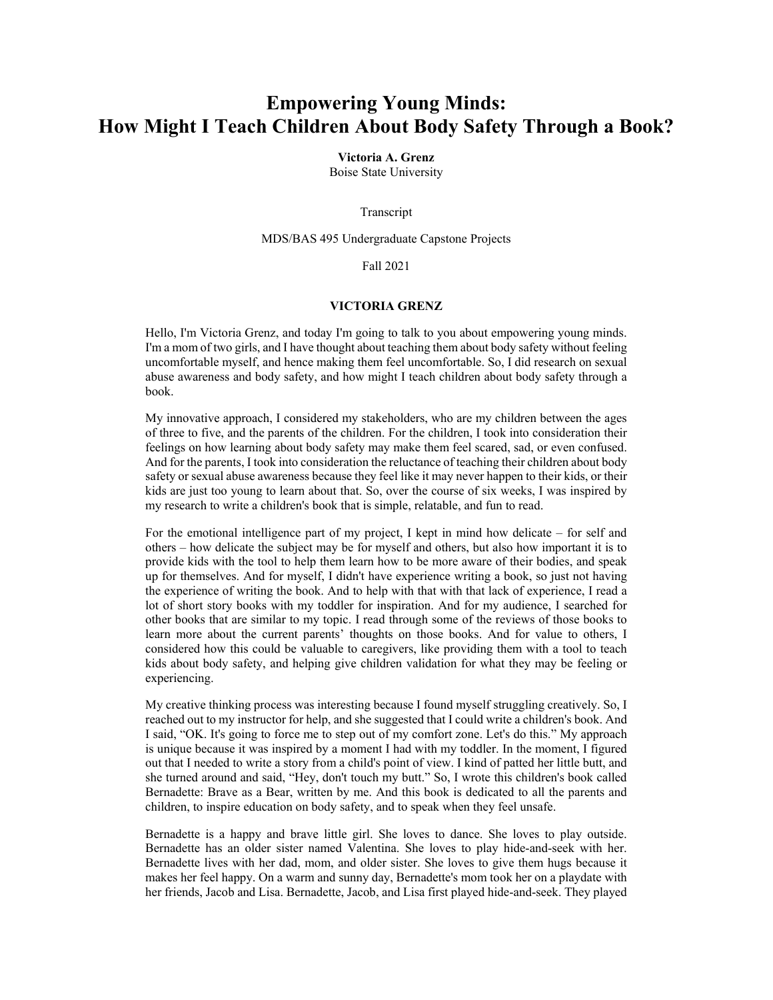## **Empowering Young Minds: How Might I Teach Children About Body Safety Through a Book?**

**Victoria A. Grenz**

Boise State University

Transcript

MDS/BAS 495 Undergraduate Capstone Projects

Fall 2021

## **VICTORIA GRENZ**

Hello, I'm Victoria Grenz, and today I'm going to talk to you about empowering young minds. I'm a mom of two girls, and I have thought about teaching them about body safety without feeling uncomfortable myself, and hence making them feel uncomfortable. So, I did research on sexual abuse awareness and body safety, and how might I teach children about body safety through a book.

My innovative approach, I considered my stakeholders, who are my children between the ages of three to five, and the parents of the children. For the children, I took into consideration their feelings on how learning about body safety may make them feel scared, sad, or even confused. And for the parents, I took into consideration the reluctance of teaching their children about body safety or sexual abuse awareness because they feel like it may never happen to their kids, or their kids are just too young to learn about that. So, over the course of six weeks, I was inspired by my research to write a children's book that is simple, relatable, and fun to read.

For the emotional intelligence part of my project, I kept in mind how delicate – for self and others – how delicate the subject may be for myself and others, but also how important it is to provide kids with the tool to help them learn how to be more aware of their bodies, and speak up for themselves. And for myself, I didn't have experience writing a book, so just not having the experience of writing the book. And to help with that with that lack of experience, I read a lot of short story books with my toddler for inspiration. And for my audience, I searched for other books that are similar to my topic. I read through some of the reviews of those books to learn more about the current parents' thoughts on those books. And for value to others, I considered how this could be valuable to caregivers, like providing them with a tool to teach kids about body safety, and helping give children validation for what they may be feeling or experiencing.

My creative thinking process was interesting because I found myself struggling creatively. So, I reached out to my instructor for help, and she suggested that I could write a children's book. And I said, "OK. It's going to force me to step out of my comfort zone. Let's do this." My approach is unique because it was inspired by a moment I had with my toddler. In the moment, I figured out that I needed to write a story from a child's point of view. I kind of patted her little butt, and she turned around and said, "Hey, don't touch my butt." So, I wrote this children's book called Bernadette: Brave as a Bear, written by me. And this book is dedicated to all the parents and children, to inspire education on body safety, and to speak when they feel unsafe.

Bernadette is a happy and brave little girl. She loves to dance. She loves to play outside. Bernadette has an older sister named Valentina. She loves to play hide-and-seek with her. Bernadette lives with her dad, mom, and older sister. She loves to give them hugs because it makes her feel happy. On a warm and sunny day, Bernadette's mom took her on a playdate with her friends, Jacob and Lisa. Bernadette, Jacob, and Lisa first played hide-and-seek. They played